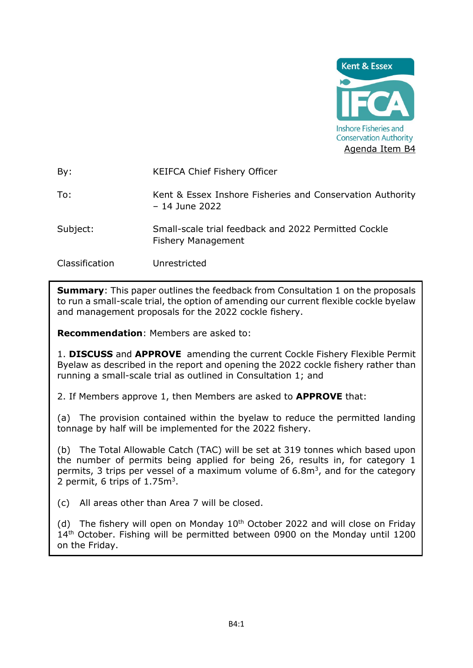

By: KEIFCA Chief Fishery Officer

To: Kent & Essex Inshore Fisheries and Conservation Authority – 14 June 2022

Subject: Small-scale trial feedback and 2022 Permitted Cockle Fishery Management

Classification Unrestricted

**Summary:** This paper outlines the feedback from Consultation 1 on the proposals to run a small-scale trial, the option of amending our current flexible cockle byelaw and management proposals for the 2022 cockle fishery.

**Recommendation**: Members are asked to:

1. **DISCUSS** and **APPROVE** amending the current Cockle Fishery Flexible Permit Byelaw as described in the report and opening the 2022 cockle fishery rather than running a small-scale trial as outlined in Consultation 1; and

2. If Members approve 1, then Members are asked to **APPROVE** that:

(a) The provision contained within the byelaw to reduce the permitted landing tonnage by half will be implemented for the 2022 fishery.

(b) The Total Allowable Catch (TAC) will be set at 319 tonnes which based upon the number of permits being applied for being 26, results in, for category 1 permits, 3 trips per vessel of a maximum volume of  $6.8\,\mathrm{m}^3$ , and for the category 2 permit, 6 trips of  $1.75m<sup>3</sup>$ .

(c) All areas other than Area 7 will be closed.

(d) The fishery will open on Monday  $10<sup>th</sup>$  October 2022 and will close on Friday 14<sup>th</sup> October. Fishing will be permitted between 0900 on the Monday until 1200 on the Friday.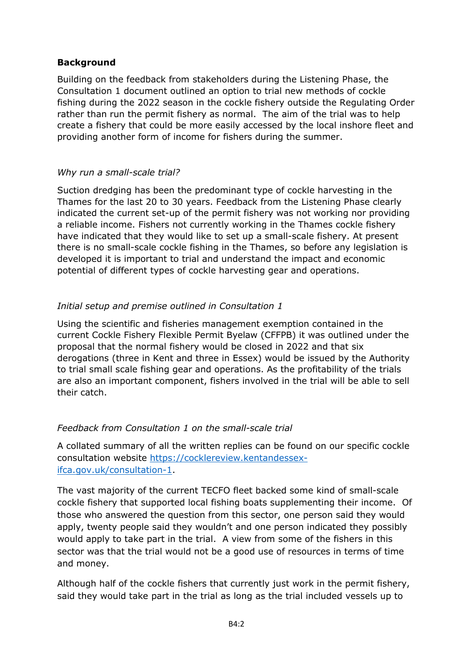## **Background**

Building on the feedback from stakeholders during the Listening Phase, the Consultation 1 document outlined an option to trial new methods of cockle fishing during the 2022 season in the cockle fishery outside the Regulating Order rather than run the permit fishery as normal. The aim of the trial was to help create a fishery that could be more easily accessed by the local inshore fleet and providing another form of income for fishers during the summer.

### *Why run a small-scale trial?*

Suction dredging has been the predominant type of cockle harvesting in the Thames for the last 20 to 30 years. Feedback from the Listening Phase clearly indicated the current set-up of the permit fishery was not working nor providing a reliable income. Fishers not currently working in the Thames cockle fishery have indicated that they would like to set up a small-scale fishery. At present there is no small-scale cockle fishing in the Thames, so before any legislation is developed it is important to trial and understand the impact and economic potential of different types of cockle harvesting gear and operations.

## *Initial setup and premise outlined in Consultation 1*

Using the scientific and fisheries management exemption contained in the current Cockle Fishery Flexible Permit Byelaw (CFFPB) it was outlined under the proposal that the normal fishery would be closed in 2022 and that six derogations (three in Kent and three in Essex) would be issued by the Authority to trial small scale fishing gear and operations. As the profitability of the trials are also an important component, fishers involved in the trial will be able to sell their catch.

### *Feedback from Consultation 1 on the small-scale trial*

A collated summary of all the written replies can be found on our specific cockle consultation website [https://cocklereview.kentandessex](https://cocklereview.kentandessex-ifca.gov.uk/consultation-1)[ifca.gov.uk/consultation-1.](https://cocklereview.kentandessex-ifca.gov.uk/consultation-1)

The vast majority of the current TECFO fleet backed some kind of small-scale cockle fishery that supported local fishing boats supplementing their income. Of those who answered the question from this sector, one person said they would apply, twenty people said they wouldn't and one person indicated they possibly would apply to take part in the trial. A view from some of the fishers in this sector was that the trial would not be a good use of resources in terms of time and money.

Although half of the cockle fishers that currently just work in the permit fishery, said they would take part in the trial as long as the trial included vessels up to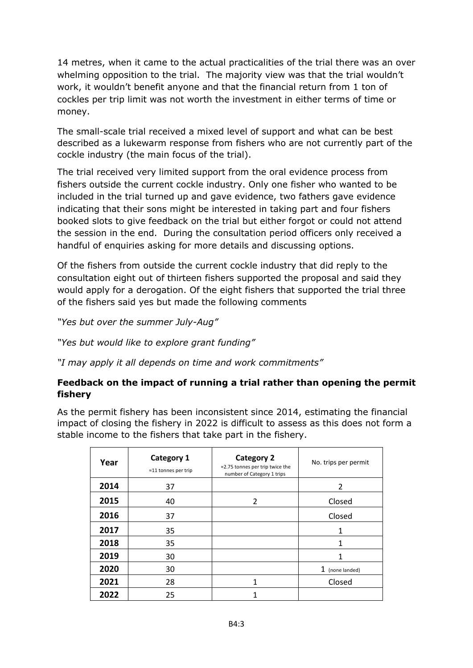14 metres, when it came to the actual practicalities of the trial there was an over whelming opposition to the trial. The majority view was that the trial wouldn't work, it wouldn't benefit anyone and that the financial return from 1 ton of cockles per trip limit was not worth the investment in either terms of time or money.

The small-scale trial received a mixed level of support and what can be best described as a lukewarm response from fishers who are not currently part of the cockle industry (the main focus of the trial).

The trial received very limited support from the oral evidence process from fishers outside the current cockle industry. Only one fisher who wanted to be included in the trial turned up and gave evidence, two fathers gave evidence indicating that their sons might be interested in taking part and four fishers booked slots to give feedback on the trial but either forgot or could not attend the session in the end. During the consultation period officers only received a handful of enquiries asking for more details and discussing options.

Of the fishers from outside the current cockle industry that did reply to the consultation eight out of thirteen fishers supported the proposal and said they would apply for a derogation. Of the eight fishers that supported the trial three of the fishers said yes but made the following comments

*"Yes but over the summer July-Aug"* 

*"Yes but would like to explore grant funding"*

*"I may apply it all depends on time and work commitments"* 

## **Feedback on the impact of running a trial rather than opening the permit fishery**

As the permit fishery has been inconsistent since 2014, estimating the financial impact of closing the fishery in 2022 is difficult to assess as this does not form a stable income to the fishers that take part in the fishery.

| Year | <b>Category 1</b><br>$\approx$ 11 tonnes per trip | <b>Category 2</b><br>≈2.75 tonnes per trip twice the<br>number of Category 1 trips | No. trips per permit |
|------|---------------------------------------------------|------------------------------------------------------------------------------------|----------------------|
| 2014 | 37                                                |                                                                                    | $\overline{2}$       |
| 2015 | 40                                                | 2                                                                                  | Closed               |
| 2016 | 37                                                |                                                                                    | Closed               |
| 2017 | 35                                                |                                                                                    | 1                    |
| 2018 | 35                                                |                                                                                    |                      |
| 2019 | 30                                                |                                                                                    |                      |
| 2020 | 30                                                |                                                                                    | 1 (none landed)      |
| 2021 | 28                                                | 1                                                                                  | Closed               |
| 2022 | 25                                                |                                                                                    |                      |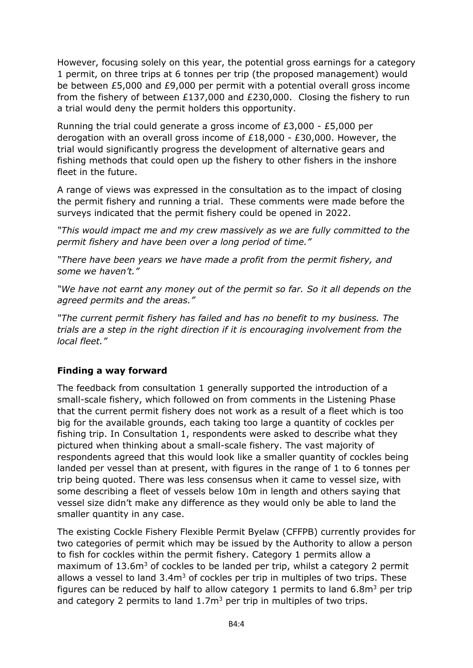However, focusing solely on this year, the potential gross earnings for a category 1 permit, on three trips at 6 tonnes per trip (the proposed management) would be between £5,000 and £9,000 per permit with a potential overall gross income from the fishery of between £137,000 and £230,000. Closing the fishery to run a trial would deny the permit holders this opportunity.

Running the trial could generate a gross income of £3,000 - £5,000 per derogation with an overall gross income of £18,000 - £30,000. However, the trial would significantly progress the development of alternative gears and fishing methods that could open up the fishery to other fishers in the inshore fleet in the future.

A range of views was expressed in the consultation as to the impact of closing the permit fishery and running a trial. These comments were made before the surveys indicated that the permit fishery could be opened in 2022.

*"This would impact me and my crew massively as we are fully committed to the permit fishery and have been over a long period of time."*

*"There have been years we have made a profit from the permit fishery, and some we haven't."* 

*"We have not earnt any money out of the permit so far. So it all depends on the agreed permits and the areas."*

*"The current permit fishery has failed and has no benefit to my business. The trials are a step in the right direction if it is encouraging involvement from the local fleet."*

## **Finding a way forward**

The feedback from consultation 1 generally supported the introduction of a small-scale fishery, which followed on from comments in the Listening Phase that the current permit fishery does not work as a result of a fleet which is too big for the available grounds, each taking too large a quantity of cockles per fishing trip. In Consultation 1, respondents were asked to describe what they pictured when thinking about a small-scale fishery. The vast majority of respondents agreed that this would look like a smaller quantity of cockles being landed per vessel than at present, with figures in the range of 1 to 6 tonnes per trip being quoted. There was less consensus when it came to vessel size, with some describing a fleet of vessels below 10m in length and others saying that vessel size didn't make any difference as they would only be able to land the smaller quantity in any case.

The existing Cockle Fishery Flexible Permit Byelaw (CFFPB) currently provides for two categories of permit which may be issued by the Authority to allow a person to fish for cockles within the permit fishery. Category 1 permits allow a maximum of 13.6m<sup>3</sup> of cockles to be landed per trip, whilst a category 2 permit allows a vessel to land  $3.4m<sup>3</sup>$  of cockles per trip in multiples of two trips. These figures can be reduced by half to allow category 1 permits to land  $6.8m<sup>3</sup>$  per trip and category 2 permits to land  $1.7m<sup>3</sup>$  per trip in multiples of two trips.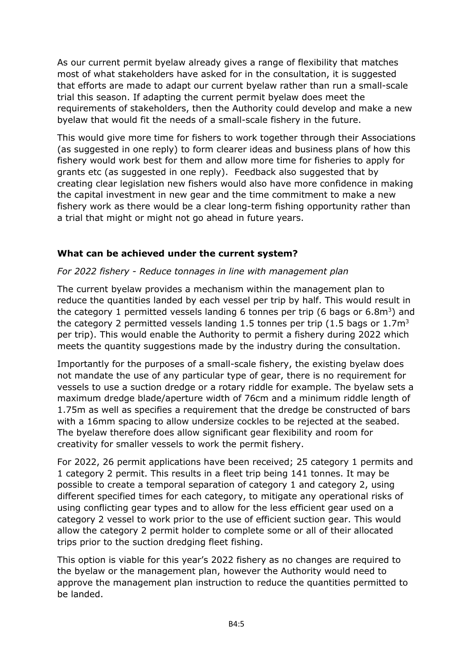As our current permit byelaw already gives a range of flexibility that matches most of what stakeholders have asked for in the consultation, it is suggested that efforts are made to adapt our current byelaw rather than run a small-scale trial this season. If adapting the current permit byelaw does meet the requirements of stakeholders, then the Authority could develop and make a new byelaw that would fit the needs of a small-scale fishery in the future.

This would give more time for fishers to work together through their Associations (as suggested in one reply) to form clearer ideas and business plans of how this fishery would work best for them and allow more time for fisheries to apply for grants etc (as suggested in one reply). Feedback also suggested that by creating clear legislation new fishers would also have more confidence in making the capital investment in new gear and the time commitment to make a new fishery work as there would be a clear long-term fishing opportunity rather than a trial that might or might not go ahead in future years.

## **What can be achieved under the current system?**

#### *For 2022 fishery - Reduce tonnages in line with management plan*

The current byelaw provides a mechanism within the management plan to reduce the quantities landed by each vessel per trip by half. This would result in the category 1 permitted vessels landing 6 tonnes per trip (6 bags or 6.8m<sup>3</sup>) and the category 2 permitted vessels landing 1.5 tonnes per trip (1.5 bags or  $1.7m<sup>3</sup>$ per trip). This would enable the Authority to permit a fishery during 2022 which meets the quantity suggestions made by the industry during the consultation.

Importantly for the purposes of a small-scale fishery, the existing byelaw does not mandate the use of any particular type of gear, there is no requirement for vessels to use a suction dredge or a rotary riddle for example. The byelaw sets a maximum dredge blade/aperture width of 76cm and a minimum riddle length of 1.75m as well as specifies a requirement that the dredge be constructed of bars with a 16mm spacing to allow undersize cockles to be rejected at the seabed. The byelaw therefore does allow significant gear flexibility and room for creativity for smaller vessels to work the permit fishery.

For 2022, 26 permit applications have been received; 25 category 1 permits and 1 category 2 permit. This results in a fleet trip being 141 tonnes. It may be possible to create a temporal separation of category 1 and category 2, using different specified times for each category, to mitigate any operational risks of using conflicting gear types and to allow for the less efficient gear used on a category 2 vessel to work prior to the use of efficient suction gear. This would allow the category 2 permit holder to complete some or all of their allocated trips prior to the suction dredging fleet fishing.

This option is viable for this year's 2022 fishery as no changes are required to the byelaw or the management plan, however the Authority would need to approve the management plan instruction to reduce the quantities permitted to be landed.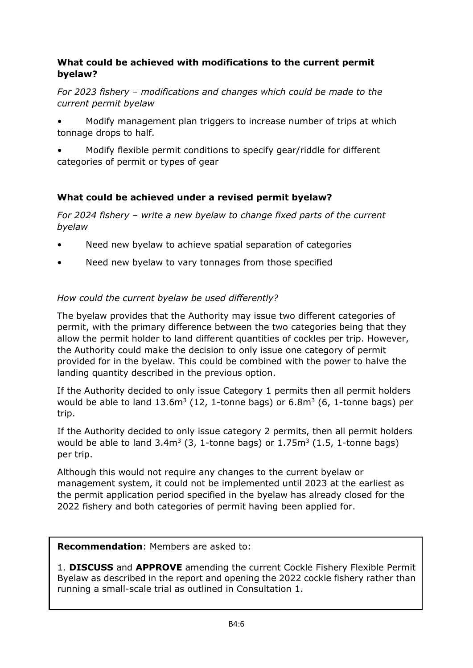## **What could be achieved with modifications to the current permit byelaw?**

*For 2023 fishery – modifications and changes which could be made to the current permit byelaw*

- Modify management plan triggers to increase number of trips at which tonnage drops to half.
- Modify flexible permit conditions to specify gear/riddle for different categories of permit or types of gear

# **What could be achieved under a revised permit byelaw?**

*For 2024 fishery – write a new byelaw to change fixed parts of the current byelaw*

- Need new byelaw to achieve spatial separation of categories
- Need new byelaw to vary tonnages from those specified

# *How could the current byelaw be used differently?*

The byelaw provides that the Authority may issue two different categories of permit, with the primary difference between the two categories being that they allow the permit holder to land different quantities of cockles per trip. However, the Authority could make the decision to only issue one category of permit provided for in the byelaw. This could be combined with the power to halve the landing quantity described in the previous option.

If the Authority decided to only issue Category 1 permits then all permit holders would be able to land  $13.6m^3$  (12, 1-tonne bags) or 6.8 $m^3$  (6, 1-tonne bags) per trip.

If the Authority decided to only issue category 2 permits, then all permit holders would be able to land  $3.4\text{m}^3$  (3, 1-tonne bags) or  $1.75\text{m}^3$  (1.5, 1-tonne bags) per trip.

Although this would not require any changes to the current byelaw or management system, it could not be implemented until 2023 at the earliest as the permit application period specified in the byelaw has already closed for the 2022 fishery and both categories of permit having been applied for.

### **Recommendation**: Members are asked to:

1. **DISCUSS** and **APPROVE** amending the current Cockle Fishery Flexible Permit Byelaw as described in the report and opening the 2022 cockle fishery rather than running a small-scale trial as outlined in Consultation 1.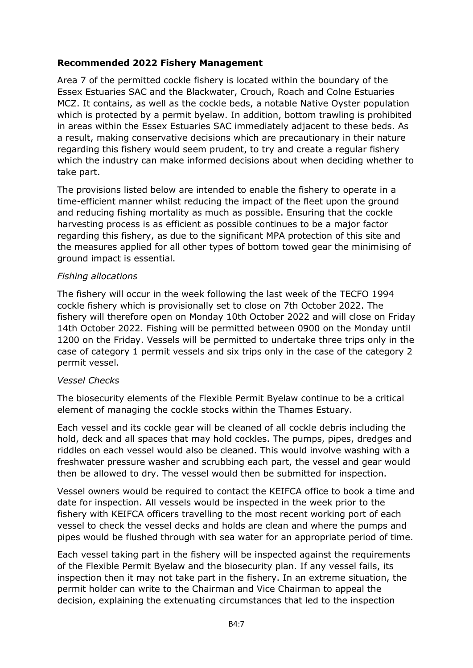## **Recommended 2022 Fishery Management**

Area 7 of the permitted cockle fishery is located within the boundary of the Essex Estuaries SAC and the Blackwater, Crouch, Roach and Colne Estuaries MCZ. It contains, as well as the cockle beds, a notable Native Oyster population which is protected by a permit byelaw. In addition, bottom trawling is prohibited in areas within the Essex Estuaries SAC immediately adjacent to these beds. As a result, making conservative decisions which are precautionary in their nature regarding this fishery would seem prudent, to try and create a regular fishery which the industry can make informed decisions about when deciding whether to take part.

The provisions listed below are intended to enable the fishery to operate in a time-efficient manner whilst reducing the impact of the fleet upon the ground and reducing fishing mortality as much as possible. Ensuring that the cockle harvesting process is as efficient as possible continues to be a major factor regarding this fishery, as due to the significant MPA protection of this site and the measures applied for all other types of bottom towed gear the minimising of ground impact is essential.

### *Fishing allocations*

The fishery will occur in the week following the last week of the TECFO 1994 cockle fishery which is provisionally set to close on 7th October 2022. The fishery will therefore open on Monday 10th October 2022 and will close on Friday 14th October 2022. Fishing will be permitted between 0900 on the Monday until 1200 on the Friday. Vessels will be permitted to undertake three trips only in the case of category 1 permit vessels and six trips only in the case of the category 2 permit vessel.

#### *Vessel Checks*

The biosecurity elements of the Flexible Permit Byelaw continue to be a critical element of managing the cockle stocks within the Thames Estuary.

Each vessel and its cockle gear will be cleaned of all cockle debris including the hold, deck and all spaces that may hold cockles. The pumps, pipes, dredges and riddles on each vessel would also be cleaned. This would involve washing with a freshwater pressure washer and scrubbing each part, the vessel and gear would then be allowed to dry. The vessel would then be submitted for inspection.

Vessel owners would be required to contact the KEIFCA office to book a time and date for inspection. All vessels would be inspected in the week prior to the fishery with KEIFCA officers travelling to the most recent working port of each vessel to check the vessel decks and holds are clean and where the pumps and pipes would be flushed through with sea water for an appropriate period of time.

Each vessel taking part in the fishery will be inspected against the requirements of the Flexible Permit Byelaw and the biosecurity plan. If any vessel fails, its inspection then it may not take part in the fishery. In an extreme situation, the permit holder can write to the Chairman and Vice Chairman to appeal the decision, explaining the extenuating circumstances that led to the inspection